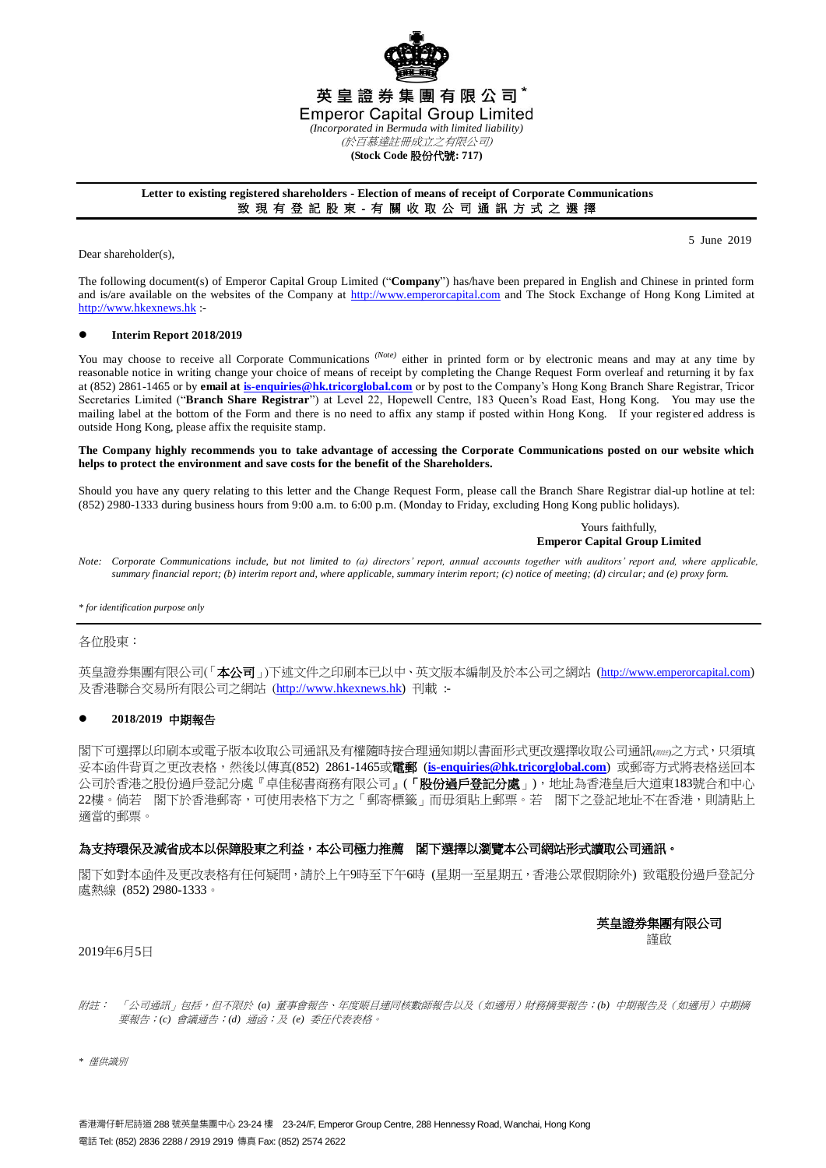

## **Letter to existing registered shareholders - Election of means of receipt of Corporate Communications** 致 現 有 登 記 股 東 - 有 關 收 取 公 司 通 訊 方 式 之 選 擇

Dear shareholder(s),

5 June 2019

The following document(s) of Emperor Capital Group Limited ("**Company**") has/have been prepared in English and Chinese in printed form and is/are available on the websites of the Company at [http://www.emperorcapital.com](http://www.emperorcapital.com/) and The Stock Exchange of Hong Kong Limited at [http://www.hkexnews.hk](http://www.hkexnews.hk/) :-

## **Interim Report 2018/2019**

You may choose to receive all Corporate Communications <sup>(Note)</sup> either in printed form or by electronic means and may at any time by reasonable notice in writing change your choice of means of receipt by completing the Change Request Form overleaf and returning it by fax at (852) 2861-1465 or by **email a[t is-enquiries@hk.tricorglobal.com](mailto:is-enquiries@hk.tricorglobal.com)** or by post to the Company's Hong Kong Branch Share Registrar, Tricor Secretaries Limited ("**Branch Share Registrar**") at Level 22, Hopewell Centre, 183 Queen's Road East, Hong Kong. You may use the mailing label at the bottom of the Form and there is no need to affix any stamp if posted within Hong Kong. If your register ed address is outside Hong Kong, please affix the requisite stamp.

#### **The Company highly recommends you to take advantage of accessing the Corporate Communications posted on our website which helps to protect the environment and save costs for the benefit of the Shareholders.**

Should you have any query relating to this letter and the Change Request Form, please call the Branch Share Registrar dial-up hotline at tel: (852) 2980-1333 during business hours from 9:00 a.m. to 6:00 p.m. (Monday to Friday, excluding Hong Kong public holidays).

> Yours faithfully, **Emperor Capital Group Limited**

*Note: Corporate Communications include, but not limited to (a) directors' report, annual accounts together with auditors' report and, where applicable, summary financial report; (b) interim report and, where applicable, summary interim report; (c) notice of meeting; (d) circular; and (e) proxy form.*

*\* for identification purpose only*

# 各位股東:

英皇證券集團有限公司(「本公司」)下述文件之印刷本已以中、英文版本編制及於本公司之網站 (http://www.emperorcapital.com) 及香港聯合交易所有限公司之網站 ([http://www.hkexnews.hk\)](http://www.hkexnews.hk/) 刊載 :-

## **2018/2019** 中期報告

閣下可選擇以印刷本或電子版本收取公司通訊及有權隨時按合理通知期以書面形式更改選擇收取公司通訊*(*附註*)*之方式,只須填 妥本函件背頁之更改表格,然後以傳真(852) 2861-1465或電郵 (**[is-enquiries@hk.tricorglobal.com](mailto:is-enquiries@hk.tricorglobal.com)**) 或郵寄方式將表格送回本 公司於香港之股份過戶登記分處『卓佳秘書商務有限公司』(「股份過戶登記分處」),地址為香港皇后大道東183號合和中心 22樓。倘若 閣下於香港郵寄,可使用表格下方之「郵寄標籤」而毋須貼上郵票。若 閣下之登記地址不在香港,則請貼上 適當的郵票。

# 為支持環保及減省成本以保障股東之利益,本公司極力推薦 閣下選擇以瀏覽本公司網站形式讀取公司通訊。

閣下如對本函件及更改表格有任何疑問,請於上午9時至下午6時 (星期一至星期五,香港公眾假期除外) 致電股份過戶登記分 處熱線 (852) 2980-1333。

英皇證券集團有限公司

謹啟

## 2019年6月5日

附註: 「公司通訊」包括,但不限於 *(a)* 董事會報告、年度賬目連同核數師報告以及(如適用)財務摘要報告;*(b)* 中期報告及(如適用)中期摘 要報告;*(c)* 會議通告;*(d)* 通函;及 *(e)* 委任代表表格。

*\** 僅供識別